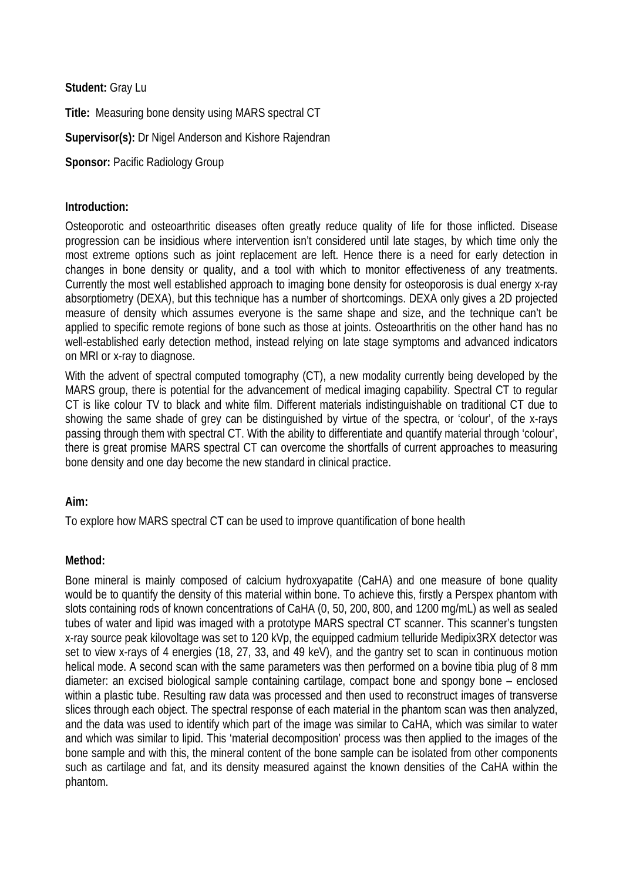**Student:** Gray Lu

**Title:** Measuring bone density using MARS spectral CT

# **Supervisor(s):** Dr Nigel Anderson and Kishore Rajendran

**Sponsor: Pacific Radiology Group** 

## **Introduction:**

Osteoporotic and osteoarthritic diseases often greatly reduce quality of life for those inflicted. Disease progression can be insidious where intervention isn't considered until late stages, by which time only the most extreme options such as joint replacement are left. Hence there is a need for early detection in changes in bone density or quality, and a tool with which to monitor effectiveness of any treatments. Currently the most well established approach to imaging bone density for osteoporosis is dual energy x-ray absorptiometry (DEXA), but this technique has a number of shortcomings. DEXA only gives a 2D projected measure of density which assumes everyone is the same shape and size, and the technique can't be applied to specific remote regions of bone such as those at joints. Osteoarthritis on the other hand has no well-established early detection method, instead relying on late stage symptoms and advanced indicators on MRI or x-ray to diagnose.

With the advent of spectral computed tomography (CT), a new modality currently being developed by the MARS group, there is potential for the advancement of medical imaging capability. Spectral CT to regular CT is like colour TV to black and white film. Different materials indistinguishable on traditional CT due to showing the same shade of grey can be distinguished by virtue of the spectra, or 'colour', of the x-rays passing through them with spectral CT. With the ability to differentiate and quantify material through 'colour', there is great promise MARS spectral CT can overcome the shortfalls of current approaches to measuring bone density and one day become the new standard in clinical practice.

## **Aim:**

To explore how MARS spectral CT can be used to improve quantification of bone health

## **Method:**

Bone mineral is mainly composed of calcium hydroxyapatite (CaHA) and one measure of bone quality would be to quantify the density of this material within bone. To achieve this, firstly a Perspex phantom with slots containing rods of known concentrations of CaHA (0, 50, 200, 800, and 1200 mg/mL) as well as sealed tubes of water and lipid was imaged with a prototype MARS spectral CT scanner. This scanner's tungsten x-ray source peak kilovoltage was set to 120 kVp, the equipped cadmium telluride Medipix3RX detector was set to view x-rays of 4 energies (18, 27, 33, and 49 keV), and the gantry set to scan in continuous motion helical mode. A second scan with the same parameters was then performed on a bovine tibia plug of 8 mm diameter: an excised biological sample containing cartilage, compact bone and spongy bone – enclosed within a plastic tube. Resulting raw data was processed and then used to reconstruct images of transverse slices through each object. The spectral response of each material in the phantom scan was then analyzed, and the data was used to identify which part of the image was similar to CaHA, which was similar to water and which was similar to lipid. This 'material decomposition' process was then applied to the images of the bone sample and with this, the mineral content of the bone sample can be isolated from other components such as cartilage and fat, and its density measured against the known densities of the CaHA within the phantom.